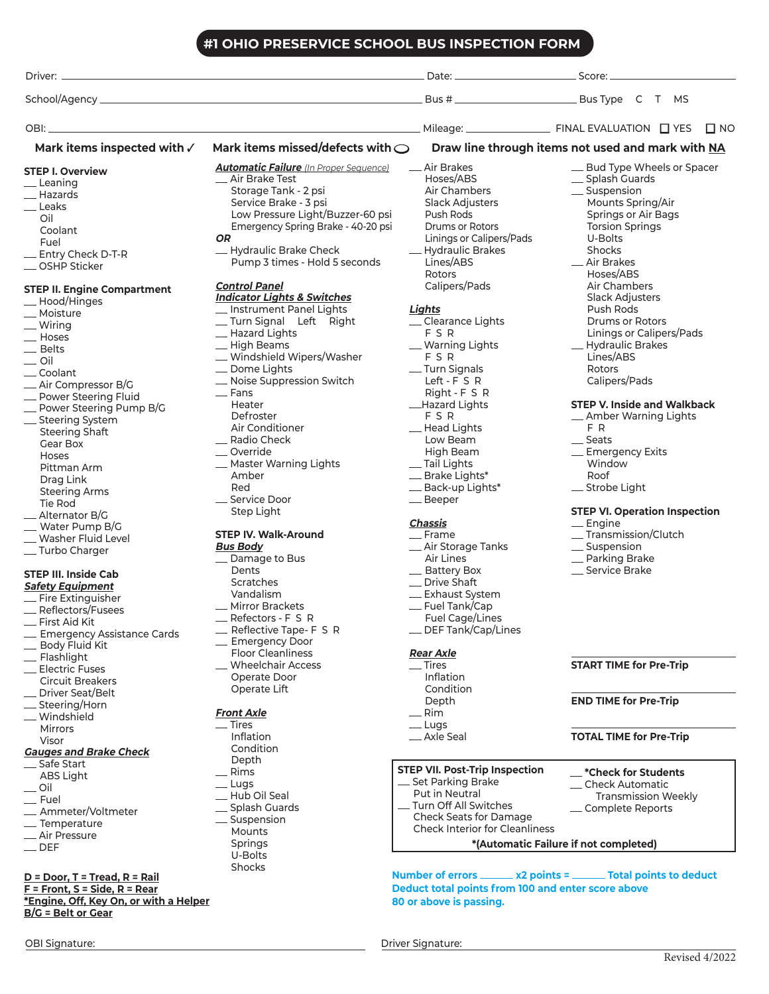#### **#1 OHIO PRESERVICE SCHOOL BUS INSPECTION FORM**

|                                        | #I OHIO PRESERVICE SCHOOL BUS INSPECTION FORM                                                                    |                                       |                                                     |
|----------------------------------------|------------------------------------------------------------------------------------------------------------------|---------------------------------------|-----------------------------------------------------|
|                                        |                                                                                                                  |                                       |                                                     |
|                                        |                                                                                                                  |                                       |                                                     |
|                                        | and the control of the control of the control of the control of the control of the control of the control of the |                                       |                                                     |
| Mark items inspected with $\checkmark$ | Mark items missed/defects with $\bigcirc$                                                                        |                                       | Draw line through items not used and mark with NA   |
| <b>STEP I. Overview</b>                | <b>Automatic Failure</b> (In Proper Sequence)                                                                    | __ Air Brakes                         | _ Bud Type Wheels or Spacer                         |
| _Leaning                               | — Air Brake Test                                                                                                 | Hoses/ABS                             | _ Splash Guards                                     |
| __ Hazards                             | Storage Tank - 2 psi                                                                                             | Air Chambers                          | __ Suspension                                       |
| _Leaks                                 | Service Brake - 3 psi                                                                                            | Slack Adjusters                       | Mounts Spring/Air                                   |
| Oil                                    | Low Pressure Light/Buzzer-60 psi                                                                                 | Push Rods                             | Springs or Air Bags                                 |
| Coolant                                | Emergency Spring Brake - 40-20 psi                                                                               | <b>Drums or Rotors</b>                | <b>Torsion Springs</b>                              |
| Fuel                                   | OR.                                                                                                              | Linings or Calipers/Pads              | U-Bolts                                             |
| _ Entry Check D-T-R                    | - Hydraulic Brake Check                                                                                          | - Hydraulic Brakes                    | Shocks                                              |
| _OSHP Sticker                          | Pump 3 times - Hold 5 seconds                                                                                    | Lines/ABS                             | _ Air Brakes                                        |
|                                        |                                                                                                                  | Rotors                                | Hoses/ABS                                           |
| <b>STEP II. Engine Compartment</b>     | <b>Control Panel</b>                                                                                             | Calipers/Pads                         | Air Chambers                                        |
| -Hood/Hinges                           | <b>Indicator Lights &amp; Switches</b>                                                                           |                                       | <b>Slack Adjusters</b>                              |
| - Moisture                             | _ Instrument Panel Lights                                                                                        | Lights                                | Push Rods                                           |
| - Wiring                               | _Turn Signal    Left    Right                                                                                    | _Clearance Lights                     | <b>Drums or Rotors</b>                              |
| - Hoses                                | - Hazard Lights                                                                                                  | FSR                                   | Linings or Calipers/Pads                            |
| _ Belts                                | -High Beams                                                                                                      | _ Warning Lights                      | - Hydraulic Brakes                                  |
| $\overline{\phantom{0}}$ Oil           | _ Windshield Wipers/Washer                                                                                       | FSR                                   | Lines/ABS                                           |
| _Coolant                               | _ Dome Lights                                                                                                    | -Turn Signals                         | <b>Rotors</b>                                       |
| _ Air Compressor B/G                   | _ Noise Suppression Switch                                                                                       | Left - F S R                          | Calipers/Pads                                       |
| - Power Steering Fluid                 | $-$ Fans                                                                                                         | Right - F S R                         |                                                     |
| - Power Steering Pump B/G              | Heater                                                                                                           | _Hazard Lights                        | <b>STEP V. Inside and Walkback</b>                  |
| _ Steering System                      | Defroster                                                                                                        | FSR                                   | - Amber Warning Lights                              |
| <b>Steering Shaft</b>                  | Air Conditioner                                                                                                  | - Head Lights                         | F R                                                 |
| Gear Box                               | _ Radio Check                                                                                                    | Low Beam                              | __ Seats                                            |
| Hoses                                  | _Override                                                                                                        | High Beam                             | _Emergency Exits                                    |
| Pittman Arm                            | _ Master Warning Lights                                                                                          | __ Tail Lights                        | Window                                              |
| Drag Link                              | Amber                                                                                                            | _ Brake Lights*                       | Roof                                                |
| <b>Steering Arms</b>                   | Red                                                                                                              | _ Back-up Lights*                     | _ Strobe Light                                      |
| Tie Rod                                | _ Service Door                                                                                                   | _Beeper                               |                                                     |
| _ Alternator B/G                       | Step Light                                                                                                       |                                       | <b>STEP VI. Operation Inspection</b>                |
| - Water Pump B/G                       |                                                                                                                  | Chassis                               | $\equiv$ Engine                                     |
| _ Washer Fluid Level                   | <b>STEP IV. Walk-Around</b>                                                                                      | $=$ Frame                             | _Transmission/Clutch                                |
| _Turbo Charger                         | <b>Bus Body</b>                                                                                                  | _ Air Storage Tanks                   | _ Suspension                                        |
|                                        | _ Damage to Bus                                                                                                  | Air Lines                             | _ Parking Brake                                     |
| <b>STEP III. Inside Cab</b>            | Dents                                                                                                            | _ Battery Box                         | _ Service Brake                                     |
| <b>Safety Equipment</b>                | Scratches                                                                                                        | _Drive Shaft                          |                                                     |
| - Fire Extinguisher                    | Vandalism                                                                                                        | _ Exhaust System                      |                                                     |
| _ Reflectors/Fusees                    | _Mirror Brackets                                                                                                 | __ Fuel Tank/Cap                      |                                                     |
| $\equiv$ First Aid Kit                 | $R$ Refectors - F S R                                                                                            | Fuel Cage/Lines                       |                                                     |
| _ Emergency Assistance Cards           | _ Reflective Tape- F S R                                                                                         | __ DEF Tank/Cap/Lines                 |                                                     |
| - Body Fluid Kit                       | _ Emergency Door                                                                                                 |                                       |                                                     |
| - Flashlight                           | <b>Floor Cleanliness</b>                                                                                         | <b>Rear Axle</b>                      |                                                     |
| _ Electric Fuses                       | __ Wheelchair Access                                                                                             | $\equiv$ Tires                        | <b>START TIME for Pre-Trip</b>                      |
| <b>Circuit Breakers</b>                | Operate Door                                                                                                     | Inflation                             |                                                     |
| _ Driver Seat/Belt                     | Operate Lift                                                                                                     | Condition                             |                                                     |
| __ Steering/Horn                       |                                                                                                                  | Depth                                 | <b>END TIME for Pre-Trip</b>                        |
| _ Windshield                           | <b>Front Axle</b>                                                                                                | $=$ Rim                               |                                                     |
| <b>Mirrors</b>                         | $\equiv$ Tires                                                                                                   | $_{\_\_\_\_$ Lugs                     |                                                     |
| Visor                                  | Inflation                                                                                                        | _ Axle Seal                           | <b>TOTAL TIME for Pre-Trip</b>                      |
| <b>Gauges and Brake Check</b>          | Condition                                                                                                        |                                       |                                                     |
| _Safe Start                            | Depth                                                                                                            | <b>STEP VII. Post-Trip Inspection</b> |                                                     |
| ABS Light                              | — Rims<br>$_{\text{Lugs}}$                                                                                       | _ Set Parking Brake                   | $-$ *Check for Students<br>$\equiv$ Check Automatic |
| $\overline{\phantom{0}}$ Oil           | -Hub Oil Seal                                                                                                    | Put in Neutral                        | <b>Transmission Weekly</b>                          |
| - Fuel                                 | _ Splash Guards                                                                                                  | _ Turn Off All Switches               | _ Complete Reports                                  |
| _ Ammeter/Voltmeter                    | _ Suspension                                                                                                     | Check Seats for Damage                |                                                     |
| _ Temperature                          | Mounts                                                                                                           | <b>Check Interior for Cleanliness</b> |                                                     |
| -Air Pressure                          | Springs                                                                                                          |                                       | *(Automatic Failure if not completed)               |
| <b>DEF</b>                             |                                                                                                                  |                                       |                                                     |

- 
- $\equiv$ DEF

#### **D = Door, T = Tread, R = Rail F = Front, S = Side, R = Rear \*Engine, Off, Key On, or with a Helper B/G = Belt or Gear**

U-Bolts Shocks

**80 or above is passing.**

**Number of errors \_\_\_\_\_\_\_ x2 points = \_\_\_\_\_\_\_ Total points to deduct** 

**Deduct total points from 100 and enter score above**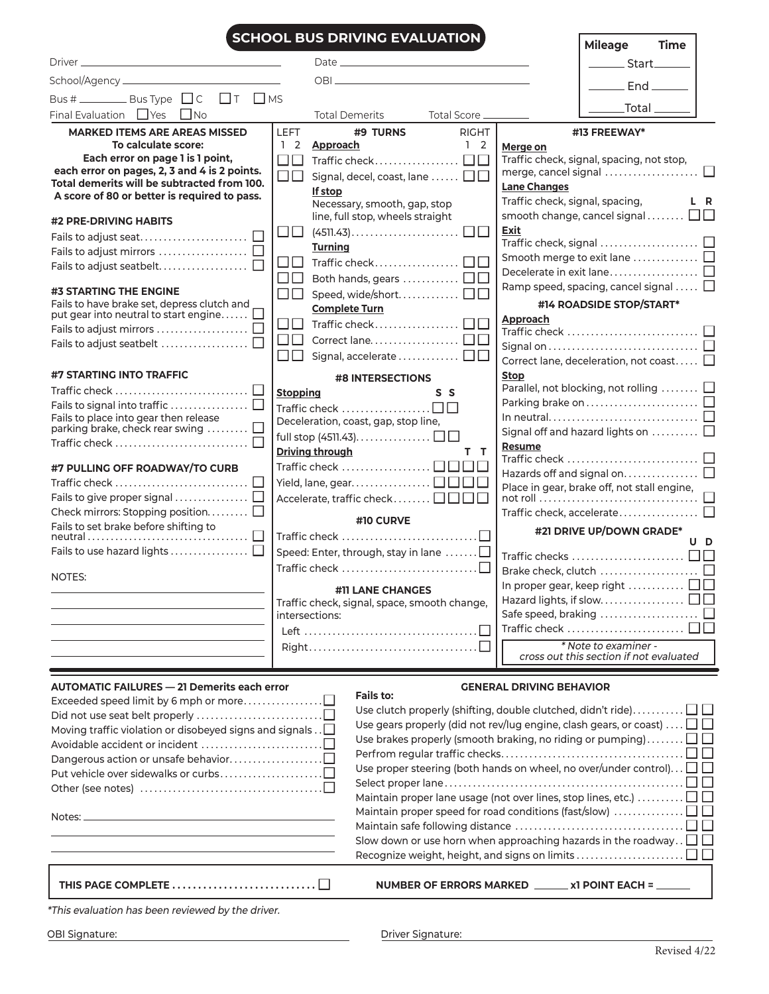|                                                                                                  | <b>SCHOOL BUS DRIVING EVALUATION</b>                                                                                                                                                                                           | <b>Mileage</b><br><b>Time</b>                                                                                                                     |
|--------------------------------------------------------------------------------------------------|--------------------------------------------------------------------------------------------------------------------------------------------------------------------------------------------------------------------------------|---------------------------------------------------------------------------------------------------------------------------------------------------|
|                                                                                                  | Date experience and the contract of the contract of the contract of the contract of the contract of the contract of the contract of the contract of the contract of the contract of the contract of the contract of the contra | <u>Start</u> Start                                                                                                                                |
|                                                                                                  |                                                                                                                                                                                                                                |                                                                                                                                                   |
| Bus # _________ Bus Type □ C □ T □ MS                                                            |                                                                                                                                                                                                                                | $End$ <sub>______</sub>                                                                                                                           |
| Final Evaluation $\Box$ Yes $\Box$ No                                                            | Total Demerits<br>Total Score _____                                                                                                                                                                                            | $\_Total \_\_$                                                                                                                                    |
| <b>MARKED ITEMS ARE AREAS MISSED</b>                                                             | <b>LEFT</b><br>#9 TURNS<br><b>RIGHT</b>                                                                                                                                                                                        | #13 FREEWAY*                                                                                                                                      |
| To calculate score:                                                                              | $1\quad2$<br><b>Approach</b><br>$1\quad2$                                                                                                                                                                                      | Merge on                                                                                                                                          |
| Each error on page 1 is 1 point,                                                                 | $\Box\Box$                                                                                                                                                                                                                     | Traffic check, signal, spacing, not stop,                                                                                                         |
| each error on pages, 2, 3 and 4 is 2 points.<br>Total demerits will be subtracted from 100.      | $\square \square$<br>Signal, decel, coast, lane $\Box$ $\Box$                                                                                                                                                                  |                                                                                                                                                   |
| A score of 80 or better is required to pass.                                                     | If stop                                                                                                                                                                                                                        | <b>Lane Changes</b><br>Traffic check, signal, spacing,                                                                                            |
|                                                                                                  | Necessary, smooth, gap, stop<br>line, full stop, wheels straight                                                                                                                                                               | L R<br>smooth change, cancel signal $\Box$                                                                                                        |
| #2 PRE-DRIVING HABITS                                                                            |                                                                                                                                                                                                                                | Exit                                                                                                                                              |
|                                                                                                  | <b>Turning</b>                                                                                                                                                                                                                 |                                                                                                                                                   |
|                                                                                                  | $\square \square$ Traffic check $\square \square$                                                                                                                                                                              | Smooth merge to exit lane □                                                                                                                       |
|                                                                                                  | $\square \, \square \, \;$ Both hands, gears $\dots\dots\dots\dots \, \square \, \square$                                                                                                                                      |                                                                                                                                                   |
| #3 STARTING THE ENGINE                                                                           | $\square \square$ Speed, wide/short. $\square \square$                                                                                                                                                                         | Ramp speed, spacing, cancel signal $\Box$                                                                                                         |
| Fails to have brake set, depress clutch and<br>put gear into neutral to start engine             | <b>Complete Turn</b>                                                                                                                                                                                                           | #14 ROADSIDE STOP/START*                                                                                                                          |
|                                                                                                  | $\Box$ Traffic check $\Box$                                                                                                                                                                                                    | Approach                                                                                                                                          |
|                                                                                                  |                                                                                                                                                                                                                                | Signal on $\dots\dots\dots\dots\dots\dots\dots\dots\dots\Box$                                                                                     |
|                                                                                                  | Signal, accelerate $\square \square$<br>$\Box\Box$                                                                                                                                                                             | Correct lane, deceleration, not coast $\Box$                                                                                                      |
| #7 STARTING INTO TRAFFIC                                                                         | <b>#8 INTERSECTIONS</b>                                                                                                                                                                                                        | <b>Stop</b>                                                                                                                                       |
|                                                                                                  | <b>Stopping</b><br>S S                                                                                                                                                                                                         | Parallel, not blocking, not rolling  □                                                                                                            |
|                                                                                                  | Traffic check $\dots\dots\dots\dots\dots\dots\Box\Box$                                                                                                                                                                         |                                                                                                                                                   |
| Fails to place into gear then release<br>parking brake, check rear swing $\ldots \ldots \square$ | Deceleration, coast, gap, stop line,                                                                                                                                                                                           | Signal off and hazard lights on $\ldots \ldots \ldots \square$                                                                                    |
|                                                                                                  |                                                                                                                                                                                                                                | <b>Resume</b>                                                                                                                                     |
|                                                                                                  | <b>Driving through</b><br>тт                                                                                                                                                                                                   | Traffic check $\ldots\ldots\ldots\ldots\ldots\ldots\ldots\ldots\ \Box$                                                                            |
| #7 PULLING OFF ROADWAY/TO CURB                                                                   | Yield, lane, gear. $\Box$ $\Box$                                                                                                                                                                                               | Hazards off and signal on $\square$                                                                                                               |
|                                                                                                  | Accelerate, traffic check $\Box$ $\Box$ $\Box$                                                                                                                                                                                 | Place in gear, brake off, not stall engine,                                                                                                       |
| Check mirrors: Stopping position                                                                 |                                                                                                                                                                                                                                |                                                                                                                                                   |
| Fails to set brake before shifting to                                                            | #10 CURVE                                                                                                                                                                                                                      | #21 DRIVE UP/DOWN GRADE*                                                                                                                          |
|                                                                                                  | Traffic check $\dots\dots\dots\dots\dots\dots\dots\dots\dots\square$                                                                                                                                                           | U D                                                                                                                                               |
| Fails to use hazard lights $\dots\dots\dots\dots\dots \square$                                   | Speed: Enter, through, stay in lane $\dots\dots\Box$<br>Traffic check $\ldots$                                                                                                                                                 |                                                                                                                                                   |
| NOTES:                                                                                           |                                                                                                                                                                                                                                |                                                                                                                                                   |
|                                                                                                  | #11 LANE CHANGES                                                                                                                                                                                                               | In proper gear, keep right $\ldots \ldots \ldots \square \square$<br>Hazard lights, if slow. $\ldots \ldots \ldots \ldots \ldots \square \square$ |
|                                                                                                  | Traffic check, signal, space, smooth change,<br>intersections:                                                                                                                                                                 |                                                                                                                                                   |
|                                                                                                  |                                                                                                                                                                                                                                |                                                                                                                                                   |
|                                                                                                  |                                                                                                                                                                                                                                | * Note to examiner -                                                                                                                              |
|                                                                                                  |                                                                                                                                                                                                                                | cross out this section if not evaluated                                                                                                           |
| <b>AUTOMATIC FAILURES - 21 Demerits each error</b>                                               | <b>Fails to:</b>                                                                                                                                                                                                               | <b>GENERAL DRIVING BEHAVIOR</b>                                                                                                                   |
|                                                                                                  |                                                                                                                                                                                                                                | Use clutch properly (shifting, double clutched, didn't ride) $\square \square$                                                                    |
|                                                                                                  |                                                                                                                                                                                                                                | Use gears properly (did not rev/lug engine, clash gears, or coast) $\dots \Box \Box$                                                              |
| Moving traffic violation or disobeyed signs and signals $\lrcorner$                              |                                                                                                                                                                                                                                | Use brakes properly (smooth braking, no riding or pumping) $\Box$ $\Box$                                                                          |
|                                                                                                  |                                                                                                                                                                                                                                |                                                                                                                                                   |
|                                                                                                  |                                                                                                                                                                                                                                | Use proper steering (both hands on wheel, no over/under control) $\Box$ $\Box$                                                                    |
|                                                                                                  |                                                                                                                                                                                                                                |                                                                                                                                                   |

Notes: \_

| PAGE COMPLETE |  |  |  |  |  |  |
|---------------|--|--|--|--|--|--|
|---------------|--|--|--|--|--|--|

### **THIS PAGE COMPLETE. .** ■ **NUMBER OF ERRORS MARKED x1 POINT EACH =**

Maintain proper lane usage (not over lines, stop lines, etc.)  $\dots\dots\dots\Box\Box$ Maintain proper speed for road conditions (fast/slow)  $\ldots$ ............ $\Box$  $\Box$ Maintain safe following distance  $\ldots\ldots\ldots\ldots\ldots\ldots\ldots\ldots\ldots\ldots\ldots\Box$ Slow down or use horn when approaching hazards in the roadway.  $\Box$   $\Box$ Recognize weight, height, and signs on limits . . . . . . . . . . . . . . . . . .  $\Box$   $\Box$ 

|  |  | *This evaluation has been reviewed by the driver. |  |
|--|--|---------------------------------------------------|--|
|  |  |                                                   |  |

OBI Signature: Driver Signature: Driver Signature: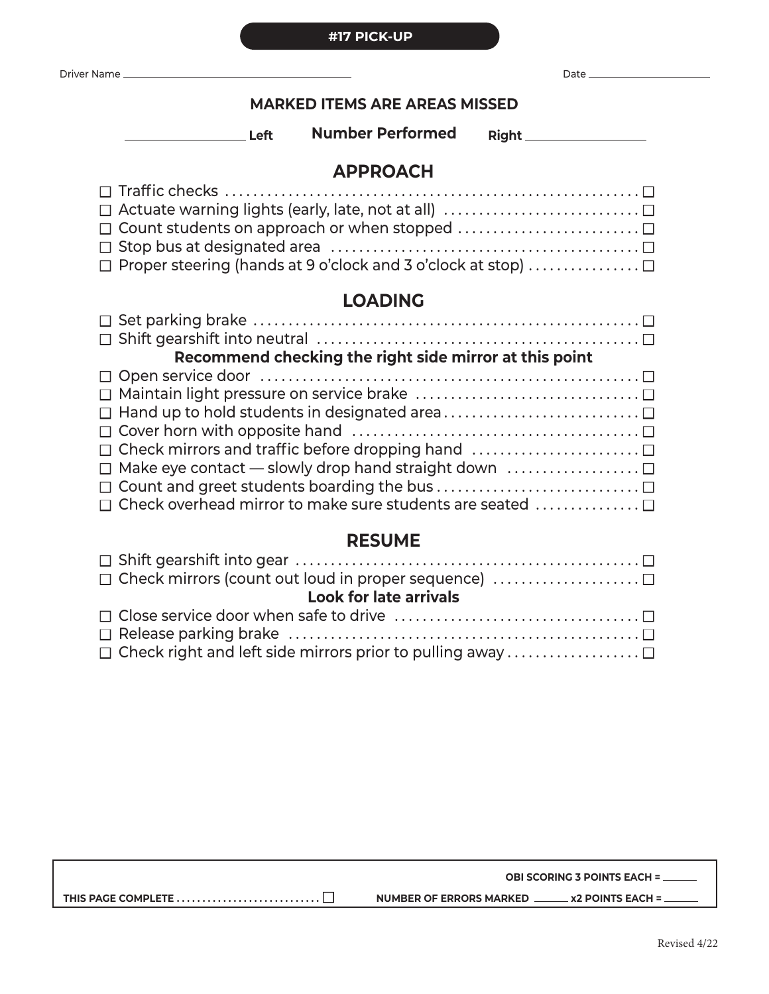Revised 4/22

# **MARKED ITEMS ARE AREAS MISSED**

**Left Number Performed Right**

# **APPROACH**

| $\Box$ Actuate warning lights (early, late, not at all) $\dots\dots\dots\dots\dots\dots\dots\dots\Box$ |
|--------------------------------------------------------------------------------------------------------|
| $\Box$ Count students on approach or when stopped                                                      |
|                                                                                                        |
| $\Box$ Proper steering (hands at 9 o'clock and 3 o'clock at stop)                                      |

# **LOADING**

| Recommend checking the right side mirror at this point                                                 |
|--------------------------------------------------------------------------------------------------------|
|                                                                                                        |
|                                                                                                        |
|                                                                                                        |
|                                                                                                        |
| $\Box$ Check mirrors and traffic before dropping hand $\ldots \ldots \ldots \ldots \ldots \ldots \Box$ |
| $\Box$ Make eye contact — slowly drop hand straight down $\dots\dots\dots\dots\dots\Box$               |
|                                                                                                        |
| □ Check overhead mirror to make sure students are seated                                               |

# **RESUME**

| $\Box$ Check mirrors (count out loud in proper sequence)       |
|----------------------------------------------------------------|
| <b>Look for late arrivals</b>                                  |
|                                                                |
|                                                                |
| $\Box$ Check right and left side mirrors prior to pulling away |

| <b>NUMBER OF ERRORS MARKED</b> | <b>x2 POINTS EACH =</b> |
|--------------------------------|-------------------------|
|                                |                         |

**#17 PICK-UP**

| Driver<br>- Narne |  |
|-------------------|--|
|                   |  |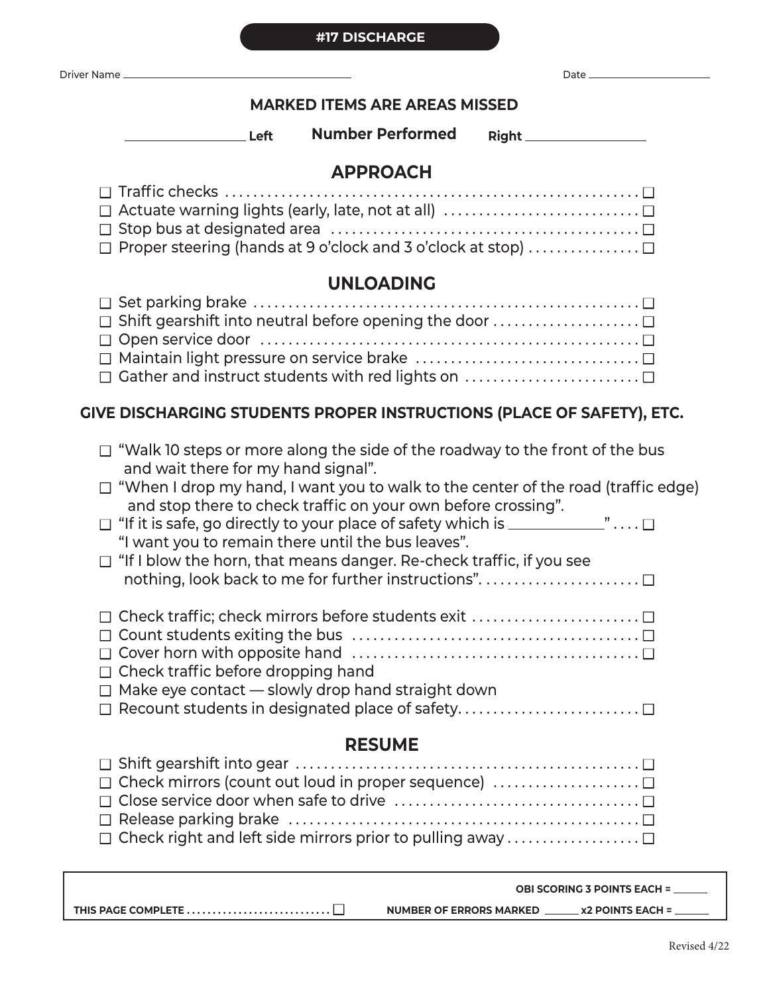#### **#17 DISCHARGE**

| <b>Driver Name</b> |      |
|--------------------|------|
|                    | out. |

Г

## **MARKED ITEMS ARE AREAS MISSED**

**Left Number Performed Right** 

# **APPROACH**

| $\Box$ Proper steering (hands at 9 o'clock and 3 o'clock at stop) |
|-------------------------------------------------------------------|

# **UNLOADING**

| □ Shift gearshift into neutral before opening the door |
|--------------------------------------------------------|
|                                                        |
|                                                        |
| □ Gather and instruct students with red lights on      |

# **GIVE DISCHARGING STUDENTS PROPER INSTRUCTIONS (PLACE OF SAFETY), ETC.**

| $\Box$ "Walk 10 steps or more along the side of the roadway to the front of the bus<br>and wait there for my hand signal".<br>$\Box$ "When I drop my hand, I want you to walk to the center of the road (traffic edge)<br>and stop there to check traffic on your own before crossing".<br>$\Box$ "If it is safe, go directly to your place of safety which is ______________" $\Box$<br>"I want you to remain there until the bus leaves".<br>$\Box$ "If I blow the horn, that means danger. Re-check traffic, if you see |  |
|----------------------------------------------------------------------------------------------------------------------------------------------------------------------------------------------------------------------------------------------------------------------------------------------------------------------------------------------------------------------------------------------------------------------------------------------------------------------------------------------------------------------------|--|
| Check traffic; check mirrors before students exit<br>Check traffic before dropping hand<br>Make eye contact - slowly drop hand straight down<br>$\Box$<br>$\Box$ Recount students in designated place of safety                                                                                                                                                                                                                                                                                                            |  |
| <b>RESUME</b>                                                                                                                                                                                                                                                                                                                                                                                                                                                                                                              |  |
| Check mirrors (count out loud in proper sequence)<br>Check right and left side mirrors prior to pulling away                                                                                                                                                                                                                                                                                                                                                                                                               |  |

|                                                                                              | <b>OBI SCORING 3 POINTS EACH = ______</b>                 |
|----------------------------------------------------------------------------------------------|-----------------------------------------------------------|
| THIS PAGE COMPLETE $\dots\dots\dots\dots\dots\dots\dots\dots\dots\dots\dots\dots\dots\ddots$ | <b>NUMBER OF ERRORS MARKED</b><br><b>x2 POINTS EACH =</b> |